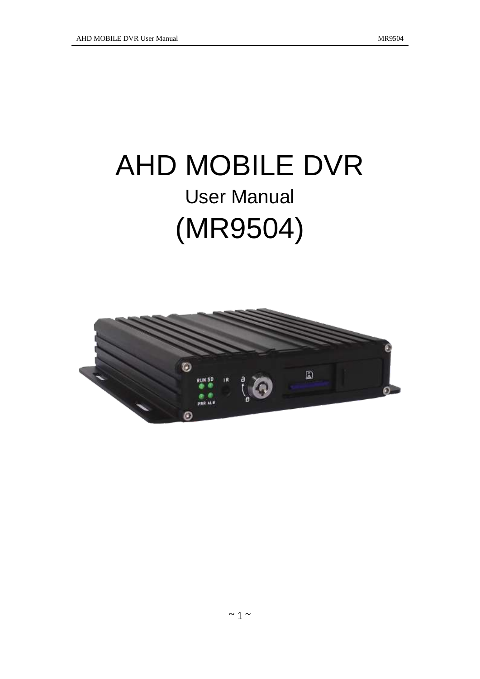# AHD MOBILE DVR User Manual (MR9504)

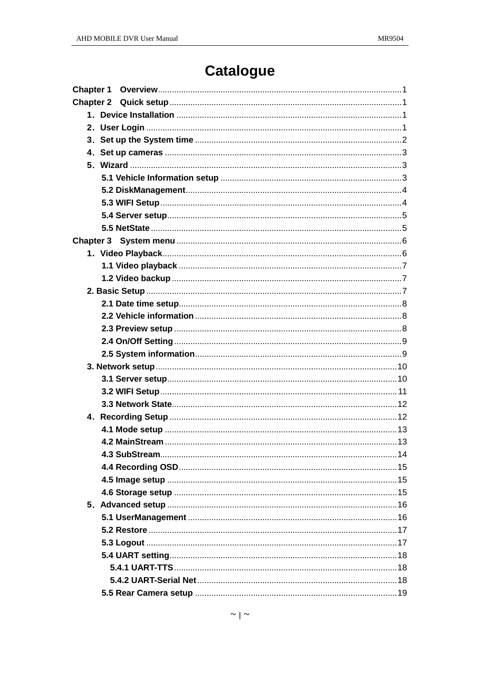## **Catalogue**

| <b>Chapter 1</b> |  |
|------------------|--|
|                  |  |
|                  |  |
|                  |  |
|                  |  |
|                  |  |
|                  |  |
|                  |  |
|                  |  |
|                  |  |
|                  |  |
|                  |  |
|                  |  |
|                  |  |
|                  |  |
|                  |  |
|                  |  |
|                  |  |
|                  |  |
|                  |  |
|                  |  |
|                  |  |
|                  |  |
|                  |  |
|                  |  |
|                  |  |
|                  |  |
|                  |  |
|                  |  |
|                  |  |
|                  |  |
|                  |  |
|                  |  |
|                  |  |
|                  |  |
|                  |  |
|                  |  |
|                  |  |
|                  |  |
|                  |  |
|                  |  |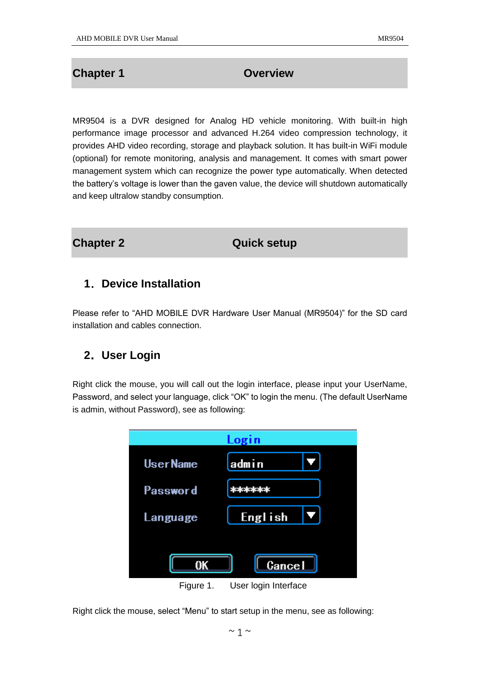#### <span id="page-3-0"></span>**Chapter 1 Chapter 1 Overview**

MR9504 is a DVR designed for Analog HD vehicle monitoring. With built-in high performance image processor and advanced H.264 video compression technology, it provides AHD video recording, storage and playback solution. It has built-in WiFi module (optional) for remote monitoring, analysis and management. It comes with smart power management system which can recognize the power type automatically. When detected the battery's voltage is lower than the gaven value, the device will shutdown automatically and keep ultralow standby consumption.

#### <span id="page-3-1"></span>**Chapter 2 Chapter 2 Quick setup**

#### <span id="page-3-2"></span>**1**.**Device Installation**

Please refer to "AHD MOBILE DVR Hardware User Manual (MR9504)" for the SD card installation and cables connection.

#### <span id="page-3-3"></span>**2**.**User Login**

Right click the mouse, you will call out the login interface, please input your UserName, Password, and select your language, click "OK" to login the menu. (The default UserName is admin, without Password), see as following:



Figure 1. User login Interface

Right click the mouse, select "Menu" to start setup in the menu, see as following: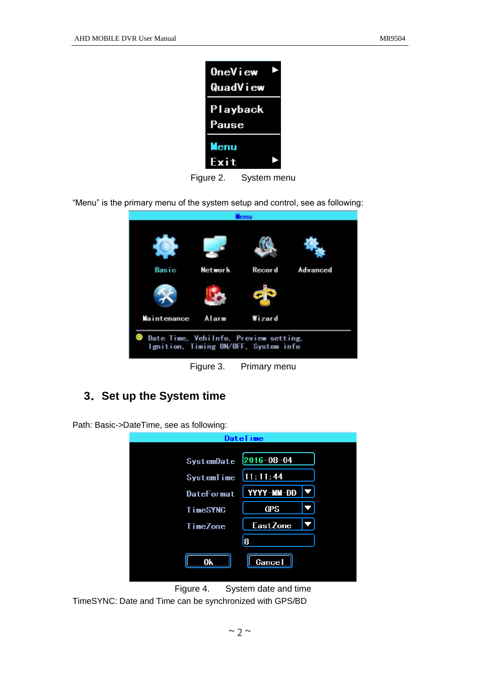| OneView<br>QuadView |  |
|---------------------|--|
| Playback<br>Pause   |  |
| Menu<br>Exit        |  |

Figure 2. System menu

"Menu" is the primary menu of the system setup and control, see as following:

|             |         | <b>Menu</b> |          |
|-------------|---------|-------------|----------|
|             |         |             |          |
| Basic       | Network | Record      | Advanced |
|             |         |             |          |
| Maintenance | Alarm   | Wizard      |          |

Figure 3. Primary menu

### <span id="page-4-0"></span>**3**.**Set up the System time**

Path: Basic->DateTime, see as following:

|                       | <b>Datelime</b> |  |
|-----------------------|-----------------|--|
|                       |                 |  |
| SystemDate 2016-08-04 |                 |  |
| SystemTime            | 11:11:44        |  |
| <b>DateFormat</b>     | $YYYY-MM-DD$    |  |
| <b>TimeSYNC</b>       | <b>GPS</b>      |  |
| <b>TimeZone</b>       | <b>EastZone</b> |  |
|                       | 8               |  |
| 0k                    | <b>Cancel</b>   |  |
|                       |                 |  |

Figure 4. System date and time

TimeSYNC: Date and Time can be synchronized with GPS/BD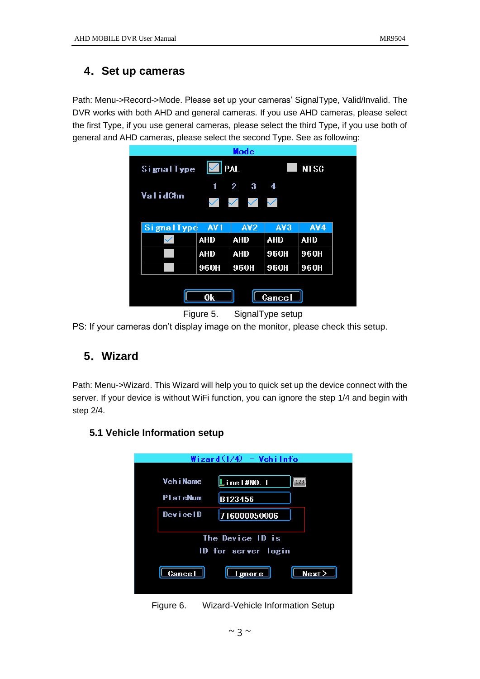#### <span id="page-5-0"></span>**4**.**Set up cameras**

Path: Menu->Record->Mode. Please set up your cameras' SignalType, Valid/Invalid. The DVR works with both AHD and general cameras. If you use AHD cameras, please select the first Type, if you use general cameras, please select the third Type, if you use both of general and AHD cameras, please select the second Type. See as following:

|                   |                       | Mode                        |               |             |
|-------------------|-----------------------|-----------------------------|---------------|-------------|
| SignalType        | $\blacktriangleright$ | <b>PAL</b>                  |               | <b>NTSG</b> |
|                   | 1                     | $\mathbf{2}$<br>3           | 4             |             |
| <b>ValidChn</b>   | $\checkmark$          | $\diagdown$<br>$\checkmark$ | $\checkmark$  |             |
|                   |                       |                             |               |             |
| <b>SignalType</b> | AV <sub>1</sub>       | <b>AV2</b>                  | AV3           | AV4         |
|                   | <b>AHD</b>            | <b>AHD</b>                  | <b>AHD</b>    | <b>AHD</b>  |
|                   | <b>AHD</b>            | <b>AHD</b>                  | 960H          | 960H        |
|                   | 960H                  | 960H                        | 960H          | 960H        |
|                   |                       |                             |               |             |
|                   | 0k                    |                             | <b>Cancel</b> |             |
|                   |                       |                             |               |             |

Figure 5. SignalType setup

<span id="page-5-1"></span>PS: If your cameras don't display image on the monitor, please check this setup.

#### **5**.**Wizard**

Path: Menu->Wizard. This Wizard will help you to quick set up the device connect with the server. If your device is without WiFi function, you can ignore the step 1/4 and begin with step 2/4.

#### <span id="page-5-2"></span>**5.1 Vehicle Information setup**

| $Wizard(1/4) - Vehi Info$ |
|---------------------------|
|                           |
| Line1#NO.1<br>123         |
| B123456                   |
| 716000050006              |
|                           |
| The Device ID is          |
| ID for server login       |
| Next<br><b>I</b> gnore    |
|                           |

Figure 6. Wizard-Vehicle Information Setup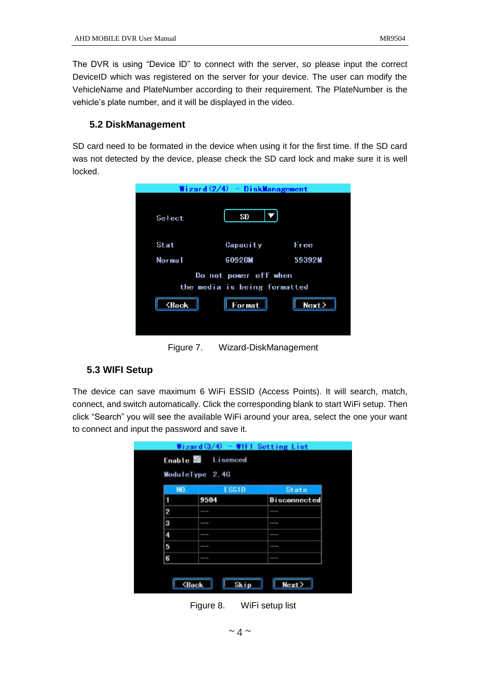The DVR is using "Device ID" to connect with the server, so please input the correct DeviceID which was registered on the server for your device. The user can modify the VehicleName and PlateNumber according to their requirement. The PlateNumber is the vehicle's plate number, and it will be displayed in the video.

#### <span id="page-6-0"></span>**5.2 DiskManagement**

SD card need to be formated in the device when using it for the first time. If the SD card was not detected by the device, please check the SD card lock and make sure it is well locked.

|                            | Wizard $(2/4)$ - DiskManagement                       |        |
|----------------------------|-------------------------------------------------------|--------|
| Select                     | SD                                                    |        |
| Stat                       | Capacity                                              | Free   |
| Normal                     | 60928M                                                | 59392M |
|                            | Do not power off when<br>the media is being formatted |        |
| $\langle$ Back $\parallel$ | $\vert$ Format $\vert$                                | Next   |
|                            |                                                       |        |
| Figure 7.                  | Wizard-DiskManagement                                 |        |

### <span id="page-6-1"></span>**5.3 WIFI Setup**

The device can save maximum 6 WiFi ESSID (Access Points). It will search, match, connect, and switch automatically. Click the corresponding blank to start WiFi setup. Then click "Search" you will see the available WiFi around your area, select the one your want to connect and input the password and save it.

|     | ModuleType 2.4G |              |
|-----|-----------------|--------------|
| NO. | <b>ESSID</b>    | <b>State</b> |
| 1   | 9504            | Disconnected |
| 2   |                 |              |
| 3   |                 |              |
| 4   |                 |              |
| 5   |                 |              |
| 6   |                 |              |

Figure 8. WiFi setup list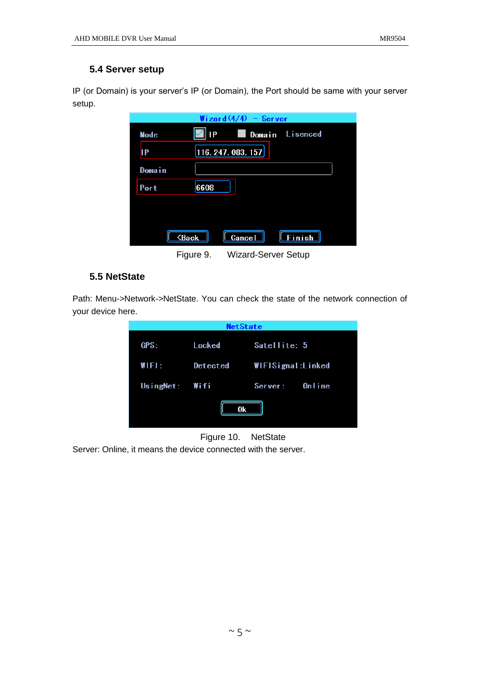#### <span id="page-7-0"></span>**5.4 Server setup**

IP (or Domain) is your server's IP (or Domain), the Port should be same with your server setup.

|        |                             | Wizard $(4/4)$ - Server |                 |
|--------|-----------------------------|-------------------------|-----------------|
| Mode   | IP                          |                         | Domain Lisenced |
| IP     |                             | [116. 247. 083. 157]    |                 |
| Domain |                             |                         |                 |
| Port   | 6608                        |                         |                 |
|        |                             |                         |                 |
|        |                             |                         |                 |
|        | <b><back< b=""></back<></b> | Cancel                  | <b>Finish</b>   |
|        | --<br>$\sim$                |                         |                 |

Figure 9. Wizard-Server Setup

#### <span id="page-7-1"></span>**5.5 NetState**

Path: Menu->Network->NetState. You can check the state of the network connection of your device here.





Server: Online, it means the device connected with the server.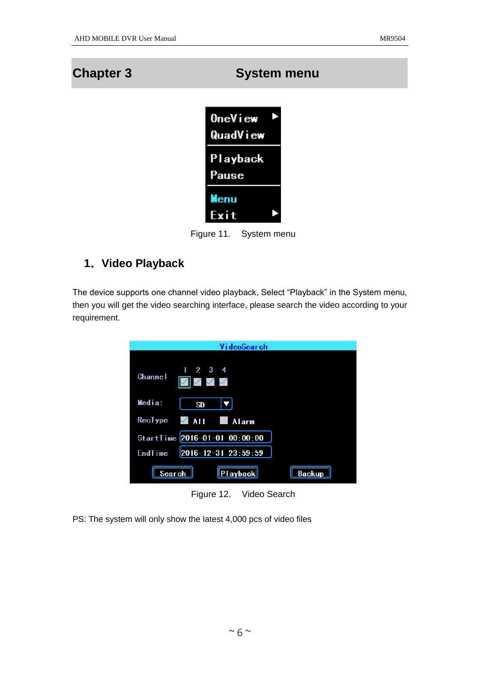## <span id="page-8-0"></span>**Chapter 3 System menu**



Figure 11. System menu

#### <span id="page-8-1"></span>**1**.**Video Playback**

The device supports one channel video playback, Select "Playback" in the System menu, then you will get the video searching interface, please search the video according to your requirement.

| VideoSearch                                    |        |
|------------------------------------------------|--------|
| $1 \quad 2 \quad 3 \quad 4$<br>Channel         |        |
| Media:<br><b>SD</b>                            |        |
| RecType $\sqrt{ \mathbf{A}  }$<br><b>Alarm</b> |        |
| StartTime 2016-01-01 00:00:00                  |        |
| $2016 - 12 - 31$ $23:59:59$<br><b>EndTime</b>  |        |
| $\vert$ Playback $\vert$<br>Search             | Backup |

Figure 12. Video Search

PS: The system will only show the latest 4,000 pcs of video files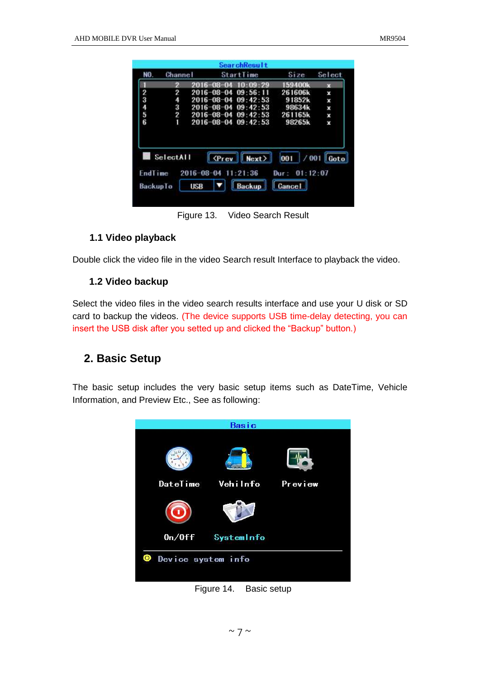| NO.            | Channel   |                     |                             | StartTime                               | Size                 | Select      |
|----------------|-----------|---------------------|-----------------------------|-----------------------------------------|----------------------|-------------|
|                | 2         | 2016-08-04          |                             | 10:09:29                                | 159400k              | 73          |
| $\overline{2}$ | 2         |                     |                             | 2016-08-04 09:56:11                     | 261606k              | x           |
|                | 4         |                     |                             | $2016 - 08 - 04$ $09 \cdot 42 \cdot 53$ | 91852k               | ×           |
|                | 3         |                     |                             | 2016-08-04 09:42:53                     | 98634k               | ×           |
| 3456           | 2         |                     |                             | $2016 - 08 - 04$ 09:42:53               | 261165k              | ×           |
|                |           |                     |                             |                                         |                      |             |
|                | ī         |                     |                             | $2016 - 08 - 04$ $09:42:53$             | 98265k               | x           |
| Endlime        | SelectAll | 2016-08-04 11:21:36 | <b><prev< b=""></prev<></b> | Next                                    | 001<br>Dur: 01:12:07 | $/001$ Goto |

Figure 13. Video Search Result

#### <span id="page-9-0"></span>**1.1 Video playback**

<span id="page-9-1"></span>Double click the video file in the video Search result Interface to playback the video.

#### **1.2 Video backup**

Select the video files in the video search results interface and use your U disk or SD card to backup the videos. (The device supports USB time-delay detecting, you can insert the USB disk after you setted up and clicked the "Backup" button.)

#### <span id="page-9-2"></span>**2. Basic Setup**

The basic setup includes the very basic setup items such as DateTime, Vehicle Information, and Preview Etc., See as following:



Figure 14. Basic setup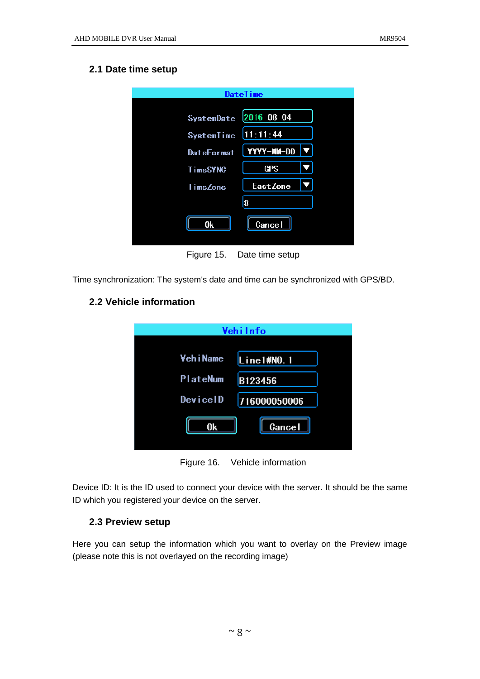#### <span id="page-10-0"></span>**2.1 Date time setup**

|                   | <b>Datelime</b> |  |
|-------------------|-----------------|--|
| <b>SystemDate</b> | 2016-08-04      |  |
| <b>SystemTime</b> | 11:11:44        |  |
| <b>DateFormat</b> | YYYY-MM-DD      |  |
| <b>TimeSYNC</b>   | <b>GPS</b>      |  |
| <b>TimeZone</b>   | <b>EastZone</b> |  |
|                   | 8               |  |
| 0k                | Cancel          |  |
|                   |                 |  |

Figure 15. Date time setup

<span id="page-10-1"></span>Time synchronization: The system's date and time can be synchronized with GPS/BD.

#### **2.2 Vehicle information**

| Vehilnfo   |               |  |  |  |  |
|------------|---------------|--|--|--|--|
|            |               |  |  |  |  |
| Veh i Name | Line1#NO.1    |  |  |  |  |
| PlateNum   | B123456       |  |  |  |  |
| DeviceID   | 716000050006  |  |  |  |  |
| 0k         | <b>Cancel</b> |  |  |  |  |
|            |               |  |  |  |  |

Figure 16. Vehicle information

Device ID: It is the ID used to connect your device with the server. It should be the same ID which you registered your device on the server.

#### <span id="page-10-2"></span>**2.3 Preview setup**

Here you can setup the information which you want to overlay on the Preview image (please note this is not overlayed on the recording image)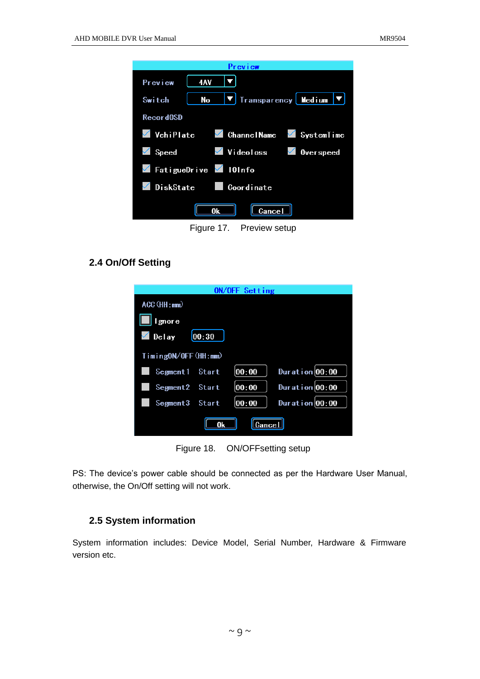| Preview                                                                               |
|---------------------------------------------------------------------------------------|
| 4AV<br>Preview                                                                        |
| Transparency Medium<br>No<br>Switch                                                   |
| Record0SD                                                                             |
| VehiPlate<br>$\checkmark$<br><b>Channel Name</b><br><b>SystemTime</b><br>$\checkmark$ |
| Videoloss $\checkmark$<br>$\checkmark$<br>Speed<br><b>Overspeed</b>                   |
| FatigueDrive $\blacksquare$ 101nfo                                                    |
| DiskState<br><b>Coordinate</b>                                                        |
| <b>Cancel</b><br>0k                                                                   |
| Figure 17. Preview setup                                                              |

#### <span id="page-11-0"></span>**2.4 On/Off Setting**

| ON/OFF Setting             |                    |  |  |  |
|----------------------------|--------------------|--|--|--|
| $ACC$ ( $HH : mm$ )        |                    |  |  |  |
| I gnore                    |                    |  |  |  |
| 00:30<br>Delay             |                    |  |  |  |
| TimingON/OFF(HH:mm)        |                    |  |  |  |
| 00:00<br>Segment1<br>Start | Duration $ 00:00$  |  |  |  |
| 00:00<br>Segment2<br>Start | Duration $ 00:00$  |  |  |  |
| 00:00<br>Segment3<br>Start | Duration $ 00:00 $ |  |  |  |
| 0k<br>Gancel               |                    |  |  |  |

Figure 18. ON/OFFsetting setup

PS: The device's power cable should be connected as per the Hardware User Manual, otherwise, the On/Off setting will not work.

#### <span id="page-11-1"></span>**2.5 System information**

System information includes: Device Model, Serial Number, Hardware & Firmware version etc.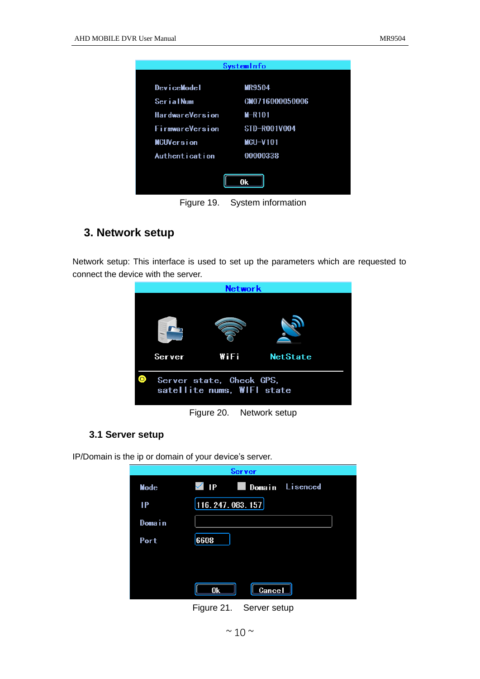|                        | SystemInfo         |  |  |  |  |
|------------------------|--------------------|--|--|--|--|
|                        |                    |  |  |  |  |
| DeviceModel            | <b>MR9504</b>      |  |  |  |  |
| SerialNum              | CM0716000050006    |  |  |  |  |
| <b>HardwareVersion</b> | $M-R101$           |  |  |  |  |
| FirmwareVersion        | STD-R001V004       |  |  |  |  |
| <b>MCUVersion</b>      | $MCU-V101$         |  |  |  |  |
| Authent i cat i on     | 00000338           |  |  |  |  |
|                        |                    |  |  |  |  |
|                        | 0k                 |  |  |  |  |
|                        |                    |  |  |  |  |
| Figure 19.             | System information |  |  |  |  |

#### <span id="page-12-0"></span>**3. Network setup**

Network setup: This interface is used to set up the parameters which are requested to connect the device with the server.



Figure 20. Network setup

#### <span id="page-12-1"></span>**3.1 Server setup**

IP/Domain is the ip or domain of your device's server.

| Server |                       |  |  |  |  |
|--------|-----------------------|--|--|--|--|
| Mode   | Domain Lisenced<br>IP |  |  |  |  |
| IP     | [116. 247. 083. 157]  |  |  |  |  |
| Domain |                       |  |  |  |  |
| Port   | 6608                  |  |  |  |  |
|        |                       |  |  |  |  |
|        |                       |  |  |  |  |
|        | <b>Cancel</b><br>0k   |  |  |  |  |

Figure 21. Server setup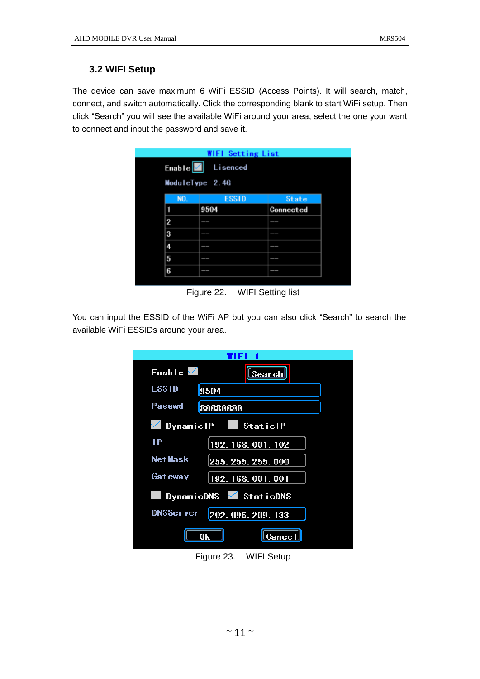#### <span id="page-13-0"></span>**3.2 WIFI Setup**

The device can save maximum 6 WiFi ESSID (Access Points). It will search, match, connect, and switch automatically. Click the corresponding blank to start WiFi setup. Then click "Search" you will see the available WiFi around your area, select the one your want to connect and input the password and save it.

|                     | <b>WIFI Setting List</b> |              |  |  |
|---------------------|--------------------------|--------------|--|--|
| Enable <sup>V</sup> | Lisenced                 |              |  |  |
| ModuleType 2.4G     |                          |              |  |  |
| NO.                 | <b>ESSID</b>             | <b>State</b> |  |  |
|                     | 9504                     | Connected    |  |  |
| $\overline{2}$      | --                       | --           |  |  |
| 3                   | --                       | --           |  |  |
| 4                   | _                        |              |  |  |
| 5                   | __                       |              |  |  |
| 6                   | _                        |              |  |  |

Figure 22. WIFI Setting list

You can input the ESSID of the WiFi AP but you can also click "Search" to search the available WiFi ESSIDs around your area.

| Enable $\sqrt{}$<br><u>Search</u>              |  |  |  |  |
|------------------------------------------------|--|--|--|--|
| <b>ESSID</b><br>9504                           |  |  |  |  |
| Passwd<br>88888888                             |  |  |  |  |
| DynamiclP<br>StaticlP                          |  |  |  |  |
| IР<br>192.168.001.102                          |  |  |  |  |
| Net Mask<br>255.255.255.000                    |  |  |  |  |
| Gateway<br>192.168.001.001                     |  |  |  |  |
| $\sqrt{\frac{1}{10}}$ Static DNS<br>DynamicDNS |  |  |  |  |
| <b>DNSServer</b><br>202.096.209.133            |  |  |  |  |
| 0k<br><u> Gance l</u>                          |  |  |  |  |

Figure 23. WIFI Setup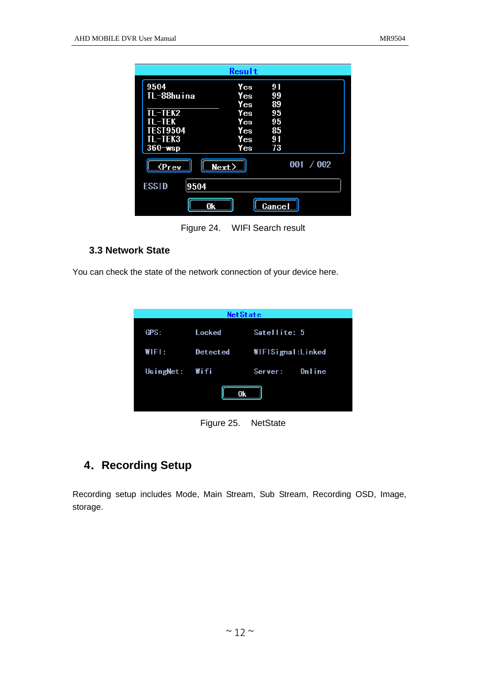|                             | Result     |    |           |  |
|-----------------------------|------------|----|-----------|--|
| 9504                        | Yes        | 91 |           |  |
| TL-88huina                  | Yes        | 99 |           |  |
|                             | Yes        | 89 |           |  |
| TL-TEK2                     | <b>Yes</b> | 95 |           |  |
| TL-TEK                      | Yes        | 95 |           |  |
| <b>TEST9504</b>             | Yes        | 85 |           |  |
| TL-TEK3                     | Yes        | 91 |           |  |
| $360$ wsp                   | Yes        | 73 |           |  |
| <b><prev< b=""></prev<></b> | Next       |    | 001 / 002 |  |
| <b>ESSID</b><br>9504        |            |    |           |  |
| <b>Cancel</b><br>0k         |            |    |           |  |

Figure 24. WIFI Search result

#### <span id="page-14-0"></span>**3.3 Network State**

You can check the state of the network connection of your device here.

| <b>NetState</b> |                     |                   |  |  |  |
|-----------------|---------------------|-------------------|--|--|--|
| GPS:            | Locked              | Satellite: 5      |  |  |  |
| WIFI:           | Detected            | WIFISignal:Linked |  |  |  |
| UsingNet: Wifi  |                     | Server: Online    |  |  |  |
| 0k              |                     |                   |  |  |  |
|                 | Figure 25. NetState |                   |  |  |  |

### <span id="page-14-1"></span>**4**.**Recording Setup**

Recording setup includes Mode, Main Stream, Sub Stream, Recording OSD, Image, storage.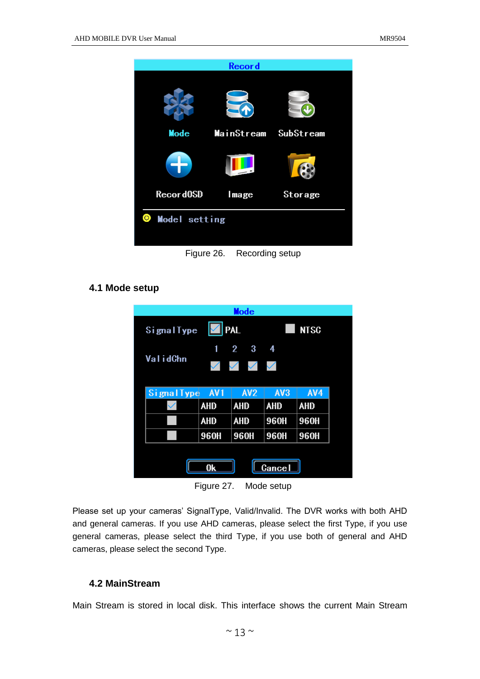

#### <span id="page-15-0"></span>**4.1 Mode setup**

| Mode                                   |                   |                                                     |                 |             |  |
|----------------------------------------|-------------------|-----------------------------------------------------|-----------------|-------------|--|
| SignalType                             |                   | <b>PAL</b>                                          |                 | <b>NTSC</b> |  |
| ValidChn                               | 1<br>$\checkmark$ | $\overline{2}$<br>3<br>$\checkmark$<br>$\checkmark$ | 4<br>$\searrow$ |             |  |
| <b>Signal Type</b>                     | AV <sub>1</sub>   | AV <sub>2</sub>                                     | AV3             | AV4         |  |
|                                        | <b>AHD</b>        | <b>AHD</b>                                          | <b>AHD</b>      | <b>AHD</b>  |  |
|                                        | <b>AHD</b>        | <b>AHD</b>                                          | 960H            | <b>960H</b> |  |
|                                        | 960H              | 960H                                                | 960H            | <b>960H</b> |  |
| <b>Cancel</b><br>0k                    |                   |                                                     |                 |             |  |
| $E_{\text{intra}}$ 27<br>$M$ odo ootun |                   |                                                     |                 |             |  |

Figure 27. Mode setup

Please set up your cameras' SignalType, Valid/Invalid. The DVR works with both AHD and general cameras. If you use AHD cameras, please select the first Type, if you use general cameras, please select the third Type, if you use both of general and AHD cameras, please select the second Type.

#### <span id="page-15-1"></span>**4.2 MainStream**

Main Stream is stored in local disk. This interface shows the current Main Stream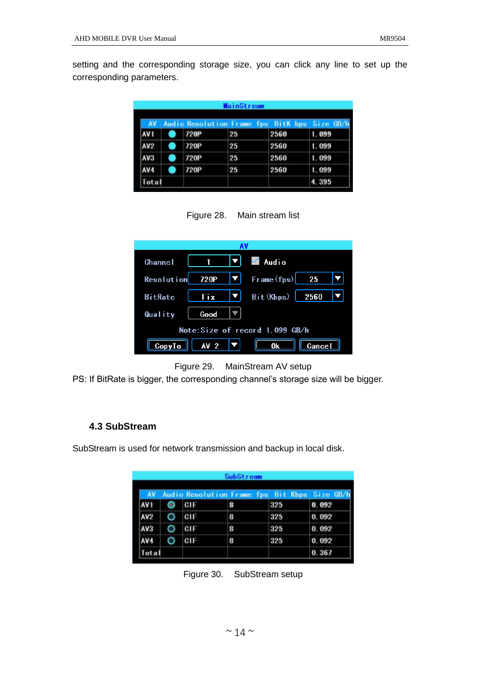setting and the corresponding storage size, you can click any line to set up the corresponding parameters.

| MainStream<br>AV |  |             |    |      |       |
|------------------|--|-------------|----|------|-------|
|                  |  |             |    |      |       |
| AV <sub>2</sub>  |  | <b>720P</b> | 25 | 2560 | 1.099 |
| AV <sub>3</sub>  |  | 720P        | 25 | 2560 | 1.099 |
| AV4              |  | 720P        | 25 | 2560 | 1.099 |
| ota              |  |             |    |      | 4.395 |

Figure 28. Main stream list

| Channel         |                                                      |     | $\begin{array}{ c c c c c }\n\hline\n\text{1} & \text{V} & \text{Audio}\n\end{array}$ |
|-----------------|------------------------------------------------------|-----|---------------------------------------------------------------------------------------|
| Resolution 720P |                                                      |     | $ \mathbf{v} $ Frame (fps) 25                                                         |
| <b>BitRate</b>  | <b>Fix</b>                                           | IVI | Bit (Kbps) $\begin{bmatrix} 2560 \end{bmatrix}$                                       |
| Quality         | Good                                                 |     |                                                                                       |
|                 |                                                      |     | Note:Size of record 1.099 GB/h                                                        |
|                 | CopyTo $\parallel$ AV 2 $\parallel \nabla \parallel$ |     | 0k<br><b>Cancel</b>                                                                   |



PS: If BitRate is bigger, the corresponding channel's storage size will be bigger.

#### <span id="page-16-0"></span>**4.3 SubStream**

SubStream is used for network transmission and backup in local disk.

|                 | <b>SubStream</b>                            |   |     |       |
|-----------------|---------------------------------------------|---|-----|-------|
|                 | Audio Resolution Frame fps Bit Kbps Size GB |   |     |       |
| AV 1            | C1F                                         | 8 | 325 | 0.092 |
| AV <sub>2</sub> | CIF                                         | 8 | 325 | 0.092 |
| AV <sub>3</sub> | CIF                                         | 8 | 325 | 0.092 |
| AV4             | CIF                                         | 8 | 325 | 0.092 |
| Total           |                                             |   |     | 0.367 |

Figure 30. SubStream setup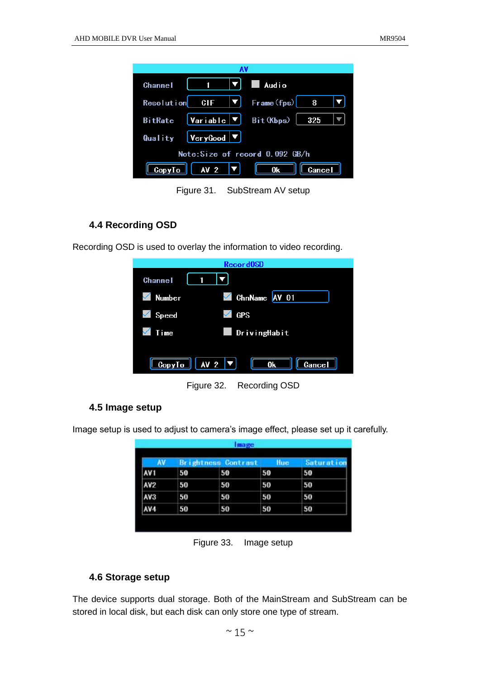| <u>L IVI</u><br>$\blacksquare$<br><b>Channel</b> | <b>Audio</b>                             |
|--------------------------------------------------|------------------------------------------|
| Resolution <b>CIF</b><br>IVI                     | $\lceil \mathsf{Frame(fps)} \rceil$<br>8 |
| Variable $\vert$ ▼ $\vert$<br><b>BitRate</b>     | Bit (Kbps)<br>325                        |
| $ Very$ Good $ \blacktriangledown$<br>Quality    |                                          |
|                                                  | Note:Size of record 0.092 GB/h           |
| AV <sub>2</sub><br>CopyTo                        | <b>Cancel</b>                            |

Figure 31. SubStream AV setup

#### <span id="page-17-0"></span>**4.4 Recording OSD**

Recording OSD is used to overlay the information to video recording.

| Record0SD                                                       |               |
|-----------------------------------------------------------------|---------------|
| <b>Channel</b>                                                  |               |
| <b>Number</b><br>$\checkmark$                                   | ChnName AV 01 |
| <b>GPS</b><br>Speed                                             |               |
| Time                                                            | DrivingHabit  |
| $\boxed{\text{CopyTo}}$ $\boxed{\text{AV 2 }} \boxed{\text{V}}$ | 0k<br>Cancel  |

Figure 32. Recording OSD

#### <span id="page-17-1"></span>**4.5 Image setup**

Image setup is used to adjust to camera's image effect, please set up it carefully.

|                 | <b>Brightness Contrast</b> |    | Hue | Saturatio |
|-----------------|----------------------------|----|-----|-----------|
| AV <sub>1</sub> | 50                         | 50 | 50  | 50        |
| AV <sub>2</sub> | 50                         | 50 | 50  | 50        |
| AV3             | 50                         | 50 | 50  | 50        |
| AV4             | 50                         | 50 | 50  | 50        |

Figure 33. Image setup

#### <span id="page-17-2"></span>**4.6 Storage setup**

The device supports dual storage. Both of the MainStream and SubStream can be stored in local disk, but each disk can only store one type of stream.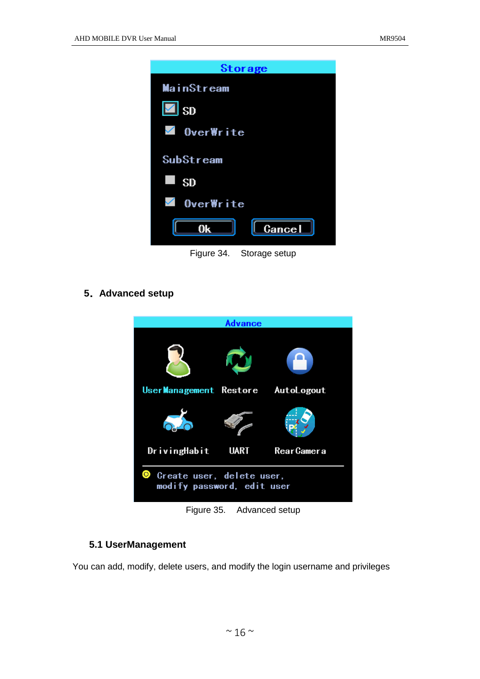| <b>Storage</b>              |
|-----------------------------|
| <b>MainStream</b>           |
| $\vert\blacksquare\vert$ sp |
| $\blacksquare$ OverWrite    |
| SubStream                   |
| <b>SD</b>                   |
| $\sqrt{ }$ OverWrite        |
| <b>Cancel</b><br>0k         |
| Figure 34.<br>Storage setup |

<span id="page-18-0"></span>**5**.**Advanced setup**



Figure 35. Advanced setup

#### <span id="page-18-1"></span>**5.1 UserManagement**

You can add, modify, delete users, and modify the login username and privileges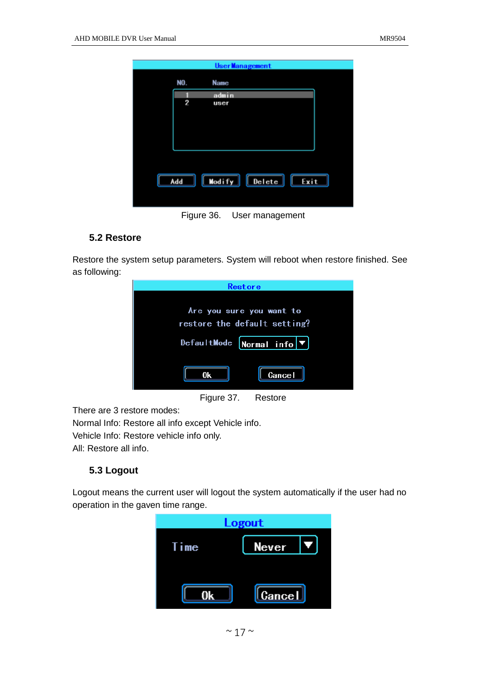|            |        | <b>UserManagement</b> |      |  |
|------------|--------|-----------------------|------|--|
| NO.        | Name   |                       |      |  |
|            | admin  |                       |      |  |
| 2          | user   |                       |      |  |
|            |        |                       |      |  |
|            |        |                       |      |  |
|            |        |                       |      |  |
|            |        |                       |      |  |
|            |        |                       |      |  |
|            |        |                       |      |  |
| Add        | Modify | $\lceil$ Delete       | Exit |  |
|            |        |                       |      |  |
|            |        |                       |      |  |
| Figure 36. |        | User management       |      |  |

#### <span id="page-19-0"></span>**5.2 Restore**

Restore the system setup parameters. System will reboot when restore finished. See as following:

| Restore                                                                                                  |
|----------------------------------------------------------------------------------------------------------|
| Are you sure you want to<br>restore the default setting?<br>DefaultMode Normal info $\blacktriangledown$ |
| Cancel<br>0k                                                                                             |
| Figure 37.<br>Restore                                                                                    |

There are 3 restore modes:

Normal Info: Restore all info except Vehicle info. Vehicle Info: Restore vehicle info only. All: Restore all info.

#### <span id="page-19-1"></span>**5.3 Logout**

Logout means the current user will logout the system automatically if the user had no operation in the gaven time range.

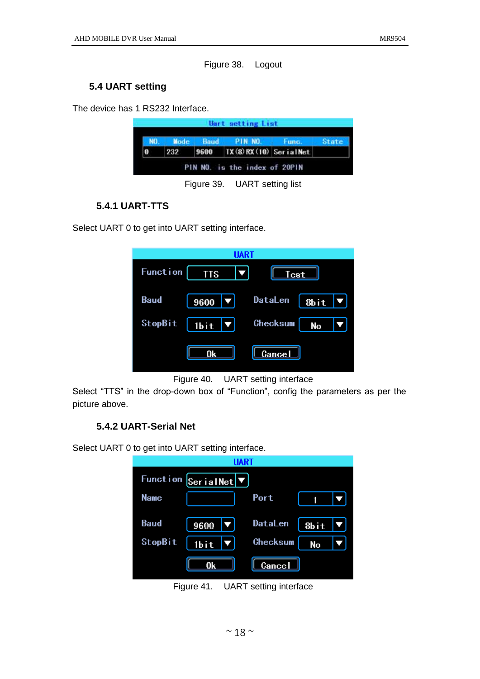Figure 38. Logout

#### <span id="page-20-0"></span>**5.4 UART setting**

The device has 1 RS232 Interface.

|     | <b>VO. Mode Baud PIN NO. Func.</b> | <b>State</b> |
|-----|------------------------------------|--------------|
| 232 | $9600$ TX (8) RX (10) Serial Net   |              |

Figure 39. UART setting list

#### <span id="page-20-1"></span>**5.4.1 UART-TTS**

Select UART 0 to get into UART setting interface.

|                 | UAR1       |             |      |
|-----------------|------------|-------------|------|
| <b>Function</b> | <b>TTS</b> | <b>Test</b> |      |
| <b>Baud</b>     | 9600       | DataLen     | 8bit |
| StopBit         | 1bit       | Checksum    | No   |
|                 | 0k         | Cancel      |      |



<span id="page-20-2"></span>Select "TTS" in the drop-down box of "Function", config the parameters as per the picture above.

#### **5.4.2 UART-Serial Net**

Select UART 0 to get into UART setting interface.

| <b>Funct i on</b> | SerialNet |                |      |  |
|-------------------|-----------|----------------|------|--|
| <b>Name</b>       |           | Port           |      |  |
| <b>Baud</b>       | 9600      | <b>DataLen</b> | 8bit |  |
| StopBit           | 1bit      | Checksum       | No   |  |
|                   | 0k        | <b>Cancel</b>  |      |  |

Figure 41. UART setting interface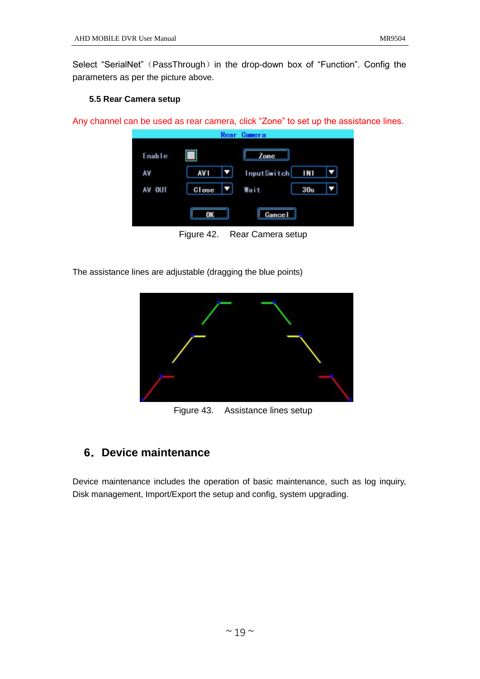Select "SerialNet" (PassThrough) in the drop-down box of "Function". Config the parameters as per the picture above.

#### <span id="page-21-0"></span>**5.5 Rear Camera setup**

Any channel can be used as rear camera, click "Zone" to set up the assistance lines.



Figure 42. Rear Camera setup

The assistance lines are adjustable (dragging the blue points)



Figure 43. Assistance lines setup

#### <span id="page-21-1"></span>**6**.**Device maintenance**

Device maintenance includes the operation of basic maintenance, such as log inquiry, Disk management, Import/Export the setup and config, system upgrading.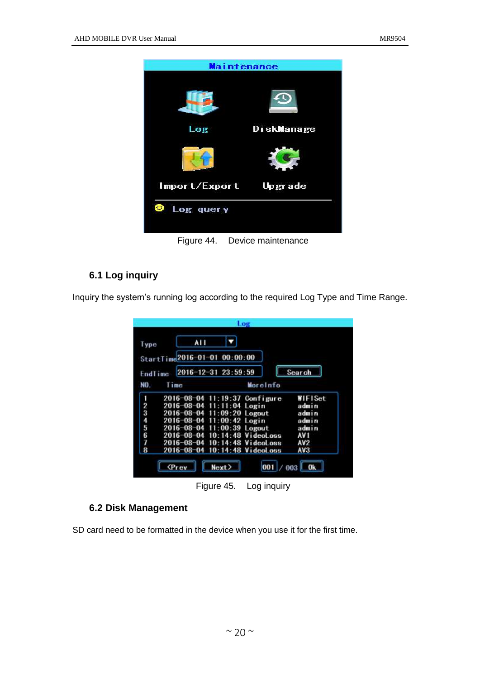

### <span id="page-22-0"></span>**6.1 Log inquiry**

Inquiry the system's running log according to the required Log Type and Time Range.

| Type    | AI I                          |          |                 |
|---------|-------------------------------|----------|-----------------|
|         | StartTime2016-01-01 00:00:00  |          |                 |
| Endlime | 2016-12-31 23:59:59           |          | Search          |
| NO.     | Time                          | Moreinfo |                 |
|         | 2016-08-04 11:19:37 Configure |          | WIFISet         |
| 1234567 | 2016-08-04 11:11:04 Login     |          | admin           |
|         | 2016-08-04 11:09:20 Logout    |          | admin           |
|         | 2016-08-04 11:00:42 Login     |          | admin           |
|         | 2016-08-04 11:00:39 Logout    |          | admin           |
|         | 2016-08-04 10:14:48 VideoLoss |          | AV <sub>1</sub> |
|         | 2016-08-04 10:14:48 VideoLoss |          | AV <sub>2</sub> |
| 8       | 2016-08-04 10:14:48 VideoLoss |          | AV3             |

Figure 45. Log inquiry

#### <span id="page-22-1"></span>**6.2 Disk Management**

SD card need to be formatted in the device when you use it for the first time.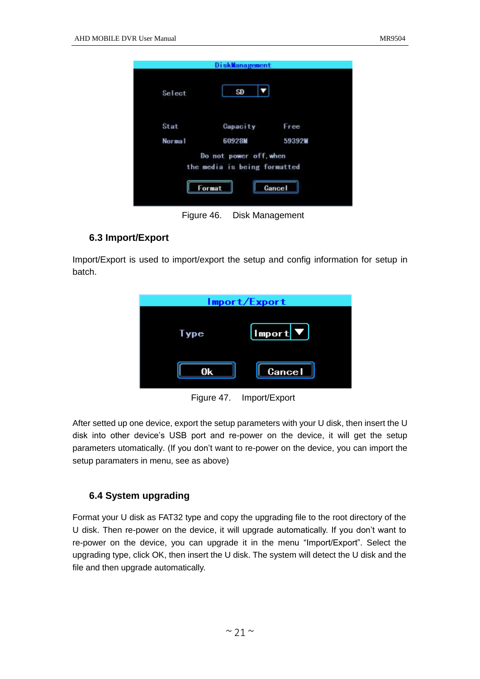| Select | SD                                                               |        |
|--------|------------------------------------------------------------------|--------|
| Stat   | Capacity                                                         | Free   |
| Normal | 60928M                                                           | 59392W |
|        | Do not power off, when<br>the media is being formatted<br>Format | Cancel |

#### <span id="page-23-0"></span>**6.3 Import/Export**

Import/Export is used to import/export the setup and config information for setup in batch.

| Import/Export |               |  |
|---------------|---------------|--|
| ype           | Import ▼      |  |
| 0k            | <b>Cancel</b> |  |

Figure 47. Import/Export

After setted up one device, export the setup parameters with your U disk, then insert the U disk into other device's USB port and re-power on the device, it will get the setup parameters utomatically. (If you don't want to re-power on the device, you can import the setup paramaters in menu, see as above)

#### <span id="page-23-1"></span>**6.4 System upgrading**

Format your U disk as FAT32 type and copy the upgrading file to the root directory of the U disk. Then re-power on the device, it will upgrade automatically. If you don't want to re-power on the device, you can upgrade it in the menu "Import/Export". Select the upgrading type, click OK, then insert the U disk. The system will detect the U disk and the file and then upgrade automatically.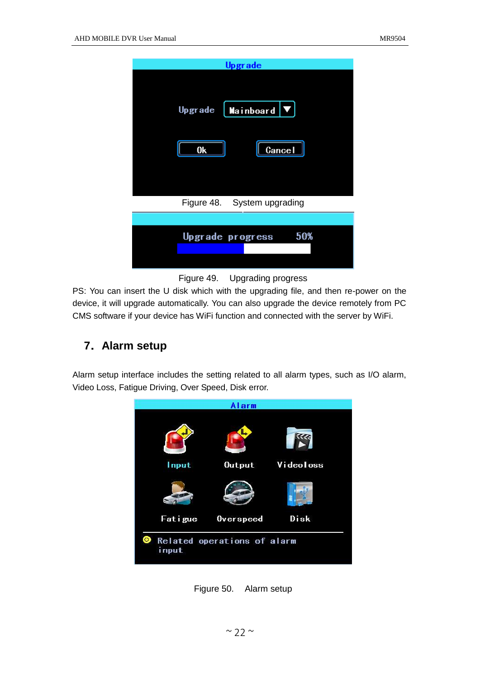| <b>Upgrade</b>                       |
|--------------------------------------|
| Mainboard $\nabla$<br><b>Upgrade</b> |
| <b>Cancel</b><br>0k                  |
| Figure 48. System upgrading          |
|                                      |
| 50%<br>Upgrade progress              |



PS: You can insert the U disk which with the upgrading file, and then re-power on the device, it will upgrade automatically. You can also upgrade the device remotely from PC CMS software if your device has WiFi function and connected with the server by WiFi.

#### <span id="page-24-0"></span>**7**.**Alarm setup**

Alarm setup interface includes the setting related to all alarm types, such as I/O alarm, Video Loss, Fatigue Driving, Over Speed, Disk error.



Figure 50. Alarm setup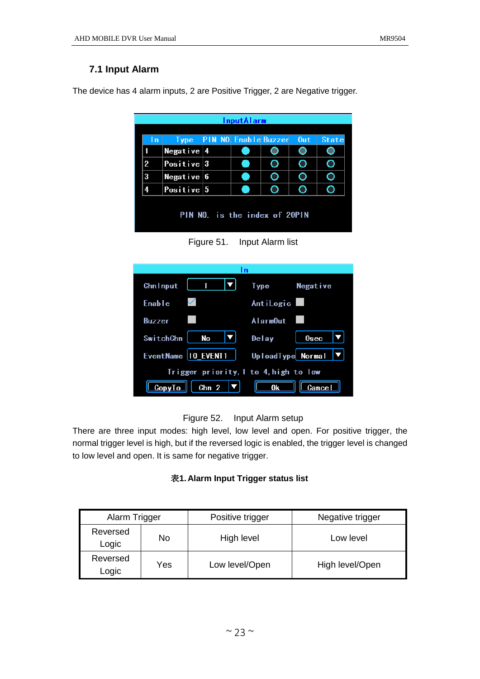#### <span id="page-25-0"></span>**7.1 Input Alarm**

The device has 4 alarm inputs, 2 are Positive Trigger, 2 are Negative trigger.

|     | InputAlarm            |  |                              |                               |     |              |
|-----|-----------------------|--|------------------------------|-------------------------------|-----|--------------|
| l n | Type:                 |  | <b>PIN NO. Enable Buzzer</b> |                               | Out | <b>State</b> |
|     | Negative 4            |  |                              |                               |     |              |
| 2   | Positive $3$          |  |                              | O                             |     |              |
| 3   | Negative $6$          |  |                              |                               |     |              |
| 4   | $\bf{Positive}\, \,5$ |  |                              |                               |     |              |
|     |                       |  |                              |                               |     |              |
|     |                       |  |                              | PIN NO. is the index of 20PIN |     |              |
|     |                       |  |                              |                               |     |              |

Figure 51. Input Alarm list

| l n                                 |                   |
|-------------------------------------|-------------------|
| <b>Chn Input</b>                    | Type<br>Negative  |
| Enable                              | AntiLogic         |
| Buzzer                              | AlarmOut          |
| SwitchChn<br><b>No</b>              | Delay<br>$0$ sec  |
| EventName   10 EVENT1               | UploadType Normal |
| Trigger priority,1 to 4,high to low |                   |
| Chn <sub>2</sub><br>ConvI           | Cancel            |

#### Figure 52. Input Alarm setup

There are three input modes: high level, low level and open. For positive trigger, the normal trigger level is high, but if the reversed logic is enabled, the trigger level is changed to low level and open. It is same for negative trigger.

#### 表**1. Alarm Input Trigger status list**

| Alarm Trigger     |     | Positive trigger | Negative trigger |
|-------------------|-----|------------------|------------------|
| Reversed<br>Logic | No  | High level       | Low level        |
| Reversed<br>Logic | Yes | Low level/Open   | High level/Open  |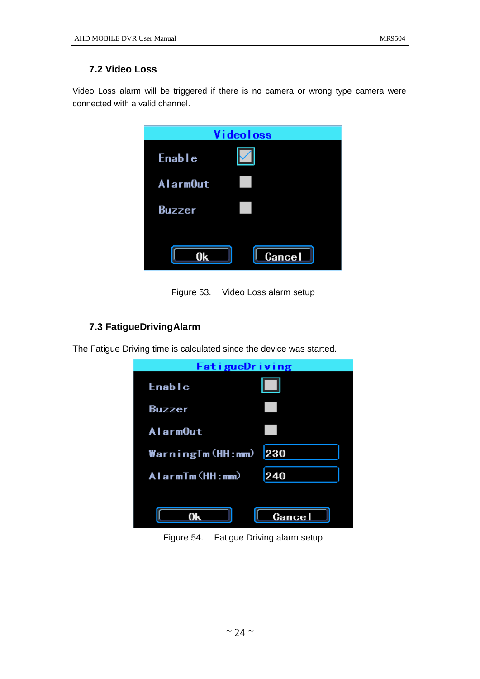#### <span id="page-26-0"></span>**7.2 Video Loss**

Video Loss alarm will be triggered if there is no camera or wrong type camera were connected with a valid channel.

| Videoloss |  |  |
|-----------|--|--|
| Enable    |  |  |
| AlarmOut  |  |  |
| Buzzer    |  |  |
| Cancel    |  |  |

Figure 53. Video Loss alarm setup

#### <span id="page-26-1"></span>**7.3 FatigueDrivingAlarm**

The Fatigue Driving time is calculated since the device was started.



Figure 54. Fatigue Driving alarm setup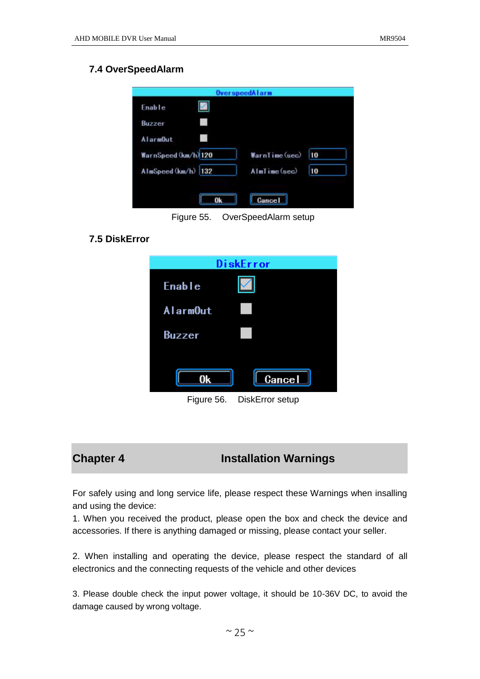#### <span id="page-27-0"></span>**7.4 OverSpeedAlarm**

| WarnSpeed (km/h) 120 | WarnTime(sec) | 10 |
|----------------------|---------------|----|
| AlmSpeed (km/h) 132  | AlmTime(sec)  | 10 |
|                      |               |    |

Figure 55. OverSpeedAlarm setup

#### <span id="page-27-1"></span>**7.5 DiskError**

| DiskError       |                 |  |
|-----------------|-----------------|--|
| Enable          |                 |  |
| <b>AlarmOut</b> |                 |  |
| Buzzer          |                 |  |
|                 |                 |  |
| 0k              | Cancel          |  |
| Figura 56       | DiekError eatun |  |

Figure 56. DiskError setup

#### <span id="page-27-2"></span>**Chapter 4 Installation Warnings**

For safely using and long service life, please respect these Warnings when insalling and using the device:

1. When you received the product, please open the box and check the device and accessories. If there is anything damaged or missing, please contact your seller.

2. When installing and operating the device, please respect the standard of all electronics and the connecting requests of the vehicle and other devices

3. Please double check the input power voltage, it should be 10-36V DC, to avoid the damage caused by wrong voltage.